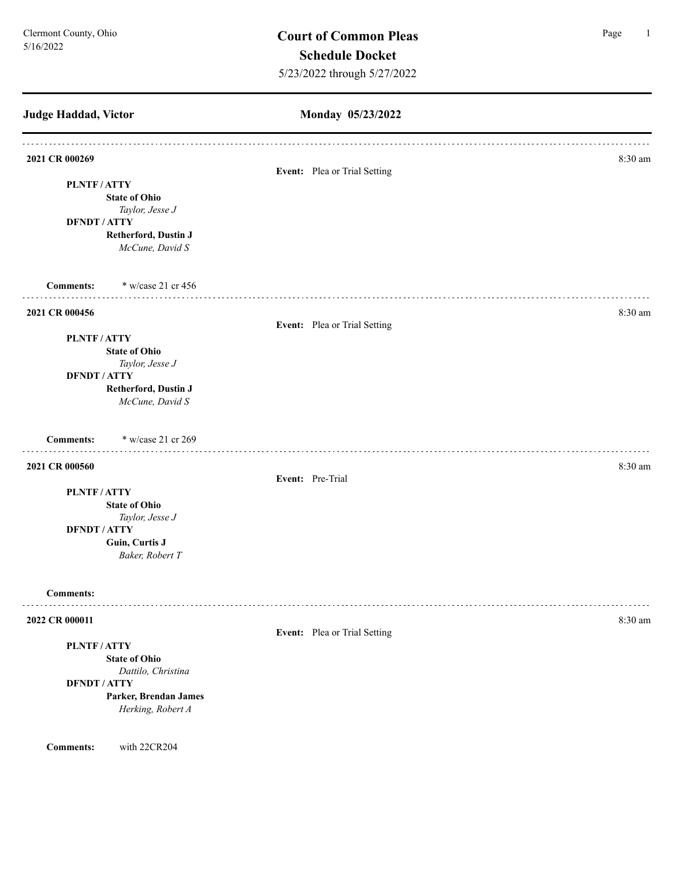# **Judge Haddad, Victor Monday 05/23/2022 2021 CR 000269** 8:30 am **Event:** Plea or Trial Setting **PLNTF / ATTY State of Ohio** *Taylor, Jesse J* **DFNDT / ATTY Retherford, Dustin J** *McCune, David S* **Comments:** \* w/case 21 cr 456 **2021 CR 000456** 8:30 am **Event:** Plea or Trial Setting **PLNTF / ATTY State of Ohio** *Taylor, Jesse J* **DFNDT / ATTY Retherford, Dustin J** *McCune, David S* **Comments:** \* w/case 21 cr 269 **2021 CR 000560** 8:30 am **8.30 am Event:** Pre-Trial **PLNTF / ATTY State of Ohio** *Taylor, Jesse J* **DFNDT / ATTY Guin, Curtis J** *Baker, Robert T* **Comments:** . . . . . . . . . . . **2022 CR 000011** 8:30 am **8:30** am **8:30** am **8:30** am **8:30** am **8:30** am **8:30** am **8:30** am **8:30** am **8:30** am **8:30** am **8:30** am **8:30** am **8:30** am **8:30** am **8:30** am **8:30** am **8:30** am **8:30** am **8:30** am **8:30 Event:** Plea or Trial Setting **PLNTF / ATTY State of Ohio** *Dattilo, Christina*  **DFNDT / ATTY Parker, Brendan James** *Herking, Robert A* **Comments:** with 22CR204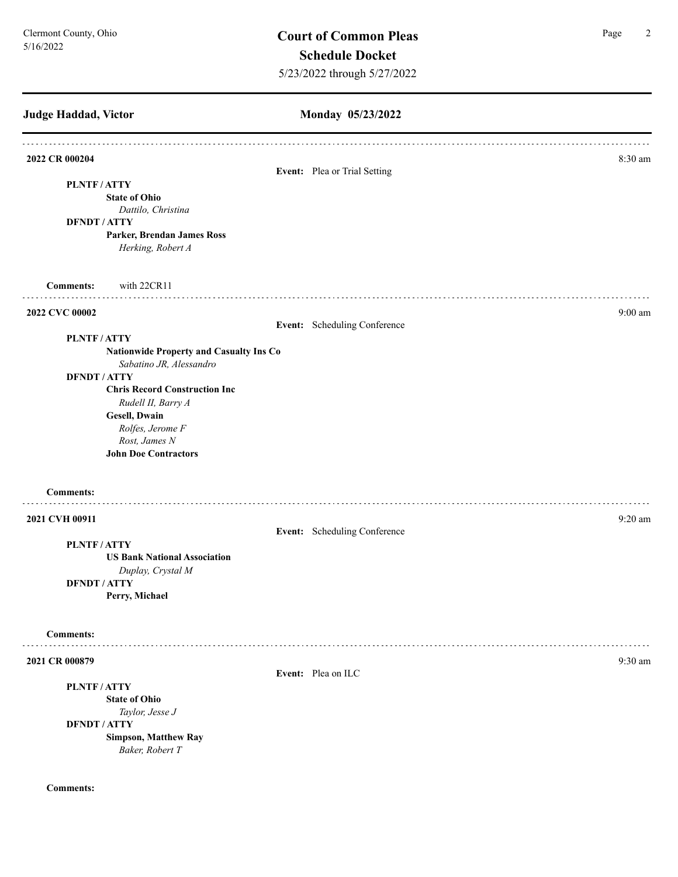## **Judge Haddad, Victor Monday 05/23/2022 2022 CR 000204** 8:30 am **Event:** Plea or Trial Setting **PLNTF / ATTY State of Ohio** *Dattilo, Christina*  **DFNDT / ATTY Parker, Brendan James Ross** *Herking, Robert A* **Comments:** with 22CR11 **2022 CVC 00002** 9:00 am **9:00 am Event:** Scheduling Conference **PLNTF / ATTY Nationwide Property and Casualty Ins Co** *Sabatino JR, Alessandro*  **DFNDT / ATTY Chris Record Construction Inc** *Rudell II, Barry A* **Gesell, Dwain**  *Rolfes, Jerome F Rost, James N* **John Doe Contractors Comments: 2021 CVH 00911** 9:20 am **Event:** Scheduling Conference **PLNTF / ATTY US Bank National Association** *Duplay, Crystal M* **DFNDT / ATTY Perry, Michael Comments: 2021 CR 000879** 9:30 am **9:30 am Event:** Plea on ILC **PLNTF / ATTY State of Ohio** *Taylor, Jesse J* **DFNDT / ATTY Simpson, Matthew Ray** *Baker, Robert T*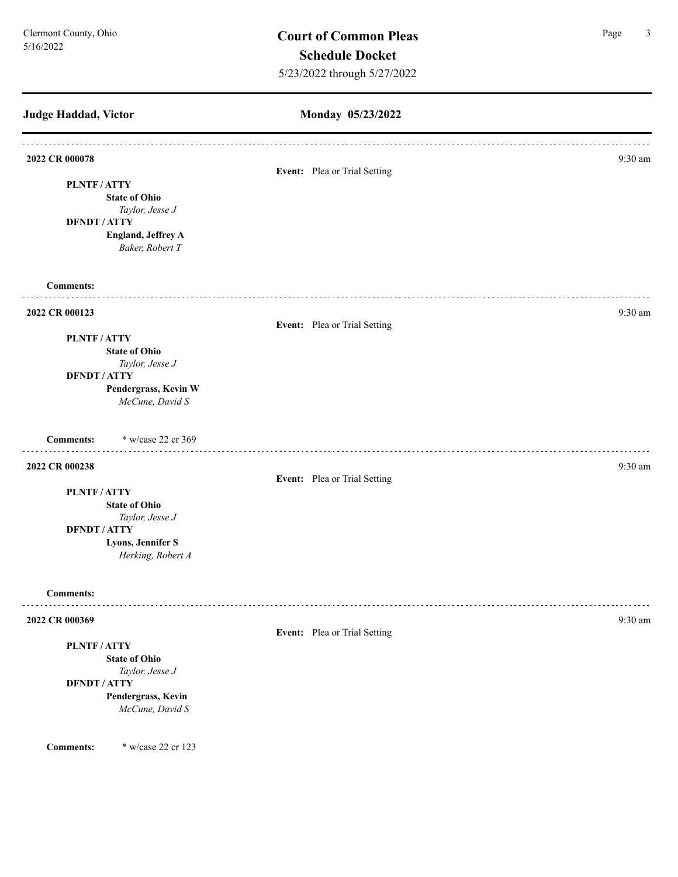# **Monday 05/23/2022 Judge Haddad, Victor 2022 CR 000078** 9:30 am **Event:** Plea or Trial Setting **PLNTF / ATTY State of Ohio** *Taylor, Jesse J* **DFNDT / ATTY England, Jeffrey A** *Baker, Robert T* **Comments: 2022 CR 000123** 9:30 am **9:30 am Event:** Plea or Trial Setting **PLNTF / ATTY State of Ohio** *Taylor, Jesse J* **DFNDT / ATTY Pendergrass, Kevin W** *McCune, David S* **Comments:** \* w/case 22 cr 369 **2022 CR 000238** 9:30 am **9:30 am Event:** Plea or Trial Setting **PLNTF / ATTY State of Ohio** *Taylor, Jesse J* **DFNDT / ATTY Lyons, Jennifer S** *Herking, Robert A* **Comments:** . . . . . . . . . **2022 CR 000369** 9:30 am **9:30 am Event:** Plea or Trial Setting **PLNTF / ATTY State of Ohio** *Taylor, Jesse J* **DFNDT / ATTY Pendergrass, Kevin**  *McCune, David S* **Comments:** \* w/case 22 cr 123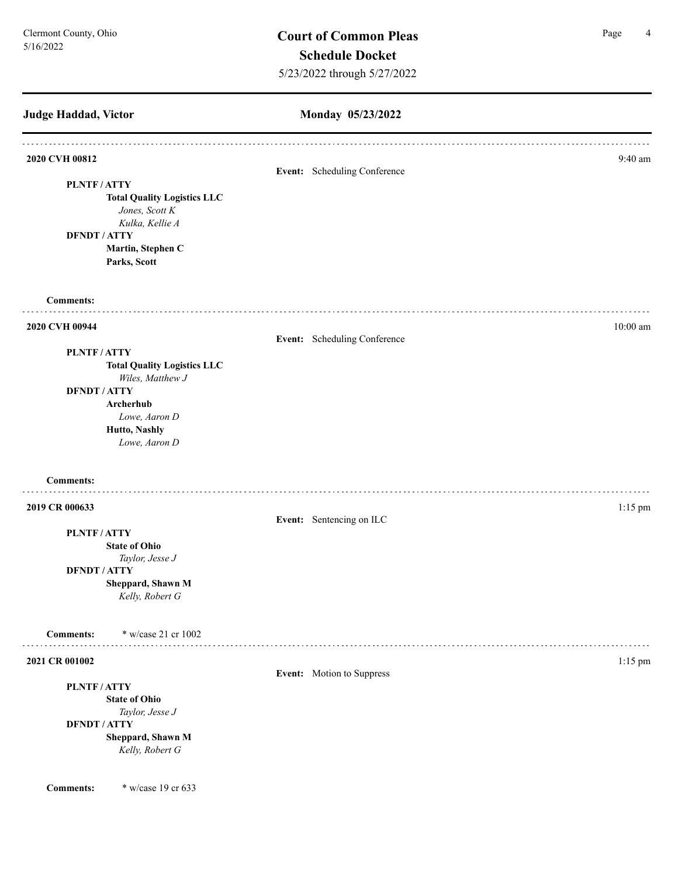# **Judge Haddad, Victor**

# **Monday 05/23/2022**

| 2020 CVH 00812                          |                              | $9:40$ am  |
|-----------------------------------------|------------------------------|------------|
|                                         | Event: Scheduling Conference |            |
| PLNTF/ATTY                              |                              |            |
| <b>Total Quality Logistics LLC</b>      |                              |            |
| Jones, Scott K                          |                              |            |
| Kulka, Kellie A                         |                              |            |
| <b>DFNDT / ATTY</b>                     |                              |            |
| Martin, Stephen C<br>Parks, Scott       |                              |            |
|                                         |                              |            |
| <b>Comments:</b>                        |                              |            |
| 2020 CVH 00944                          |                              | $10:00$ am |
|                                         | Event: Scheduling Conference |            |
| <b>PLNTF/ATTY</b>                       |                              |            |
| <b>Total Quality Logistics LLC</b>      |                              |            |
| Wiles, Matthew J                        |                              |            |
| <b>DFNDT / ATTY</b>                     |                              |            |
| Archerhub                               |                              |            |
| Lowe, Aaron D                           |                              |            |
| Hutto, Nashly                           |                              |            |
| Lowe, Aaron D                           |                              |            |
| <b>Comments:</b>                        |                              |            |
| 2019 CR 000633                          |                              | $1:15$ pm  |
|                                         | Event: Sentencing on ILC     |            |
| PLNTF/ATTY                              |                              |            |
| <b>State of Ohio</b>                    |                              |            |
| Taylor, Jesse J                         |                              |            |
| <b>DFNDT/ATTY</b>                       |                              |            |
| Sheppard, Shawn M                       |                              |            |
| Kelly, Robert G                         |                              |            |
| * w/case 21 cr 1002<br><b>Comments:</b> |                              |            |
| 2021 CR 001002                          |                              | $1:15$ pm  |
|                                         | Event: Motion to Suppress    |            |
| PLNTF/ATTY                              |                              |            |
| <b>State of Ohio</b>                    |                              |            |
| Taylor, Jesse J                         |                              |            |
| <b>DFNDT / ATTY</b>                     |                              |            |
| Sheppard, Shawn M                       |                              |            |
| Kelly, Robert G                         |                              |            |
|                                         |                              |            |
| * w/case 19 cr 633<br><b>Comments:</b>  |                              |            |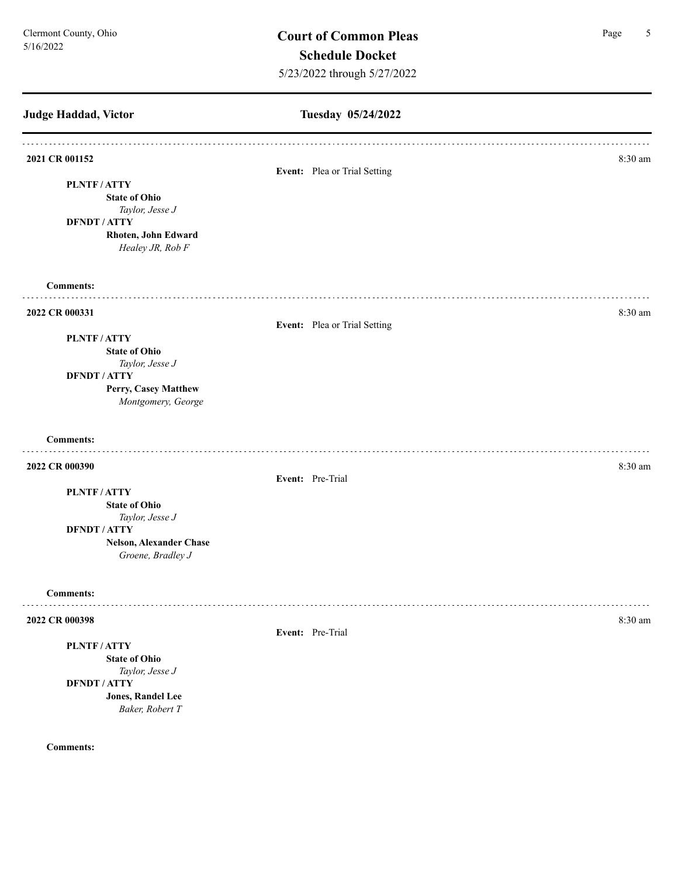# **Judge Haddad, Victor Tuesday 05/24/2022 2021 CR 001152** 8:30 am **Event:** Plea or Trial Setting **PLNTF / ATTY State of Ohio** *Taylor, Jesse J* **DFNDT / ATTY Rhoten, John Edward** *Healey JR, Rob F* **Comments: 2022 CR 000331** 8:30 am **Event:** Plea or Trial Setting **PLNTF / ATTY State of Ohio** *Taylor, Jesse J* **DFNDT / ATTY Perry, Casey Matthew** *Montgomery, George*  **Comments: 2022 CR 000390** 8:30 am **8.30 am Event:** Pre-Trial **PLNTF / ATTY State of Ohio** *Taylor, Jesse J* **DFNDT / ATTY Nelson, Alexander Chase** *Groene, Bradley J* **Comments:** . . . . . . . . . **2022 CR 000398** 8:30 am **Event:** Pre-Trial **PLNTF / ATTY State of Ohio** *Taylor, Jesse J* **DFNDT / ATTY Jones, Randel Lee** *Baker, Robert T*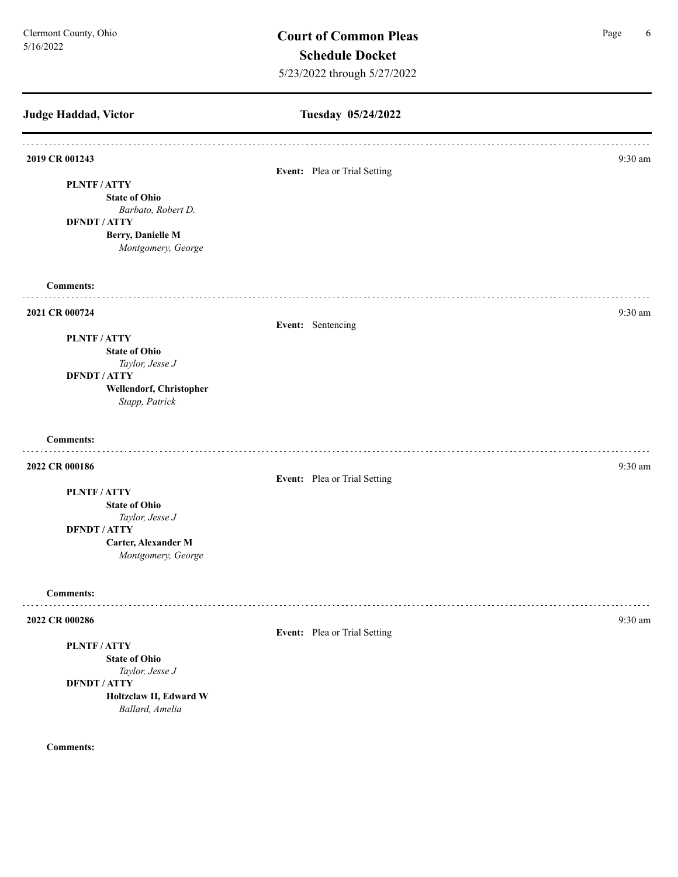## **Judge Haddad, Victor Tuesday 05/24/2022 2019 CR 001243** 9:30 am **Event:** Plea or Trial Setting **PLNTF / ATTY State of Ohio** *Barbato, Robert D.* **DFNDT / ATTY Berry, Danielle M** *Montgomery, George*  **Comments:** . . . . . . . . . . . . **2021 CR 000724** 9:30 am **9:30 am Event:** Sentencing **PLNTF / ATTY State of Ohio** *Taylor, Jesse J* **DFNDT / ATTY Wellendorf, Christopher**  *Stapp, Patrick*  **Comments: 2022 CR 000186** 9:30 am **Event:** Plea or Trial Setting **PLNTF / ATTY State of Ohio** *Taylor, Jesse J* **DFNDT / ATTY Carter, Alexander M** *Montgomery, George*  **Comments:** . . . . . . . . . **2022 CR 000286** 9:30 am **Event:** Plea or Trial Setting **PLNTF / ATTY State of Ohio** *Taylor, Jesse J* **DFNDT / ATTY Holtzclaw II, Edward W** *Ballard, Amelia*  **Comments:**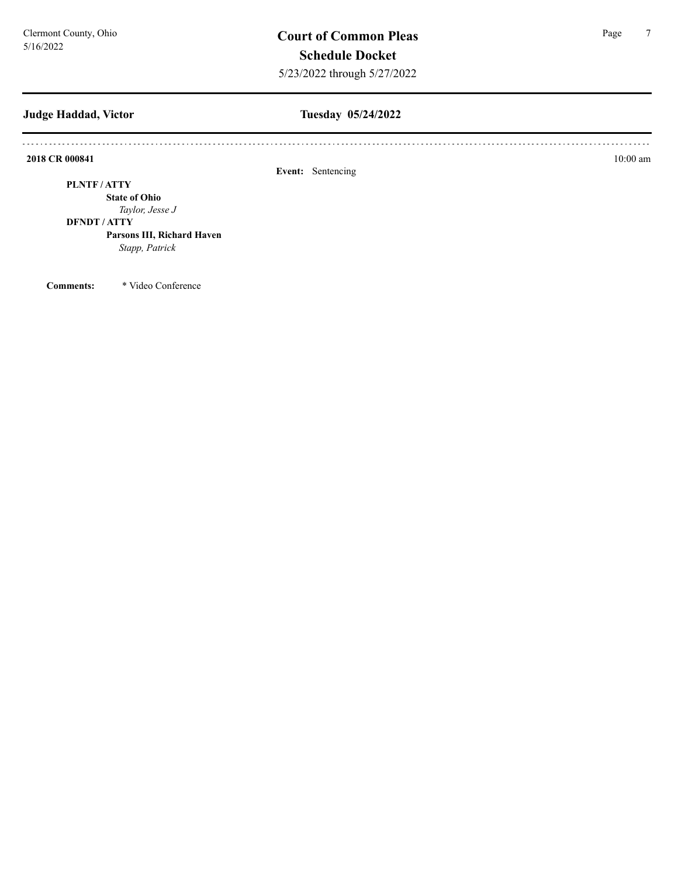## **Judge Haddad, Victor**

## **Tuesday 05/24/2022**

**2018 CR 000841 10:00 am 10:00 10:00 10:00 10:00 10:00 10:00 10:00 10:00 10:00 10:00 11:000 11:000 11:000 11:000 11:000 11:000 11:000 11:000 11:000 11:000 11:000 11:000 11:00** 

**PLNTF / ATTY**

**State of Ohio** *Taylor, Jesse J*

#### **DFNDT / ATTY**

**Parsons III, Richard Haven** *Stapp, Patrick* 

**Comments:** \* Video Conference

**Event:** Sentencing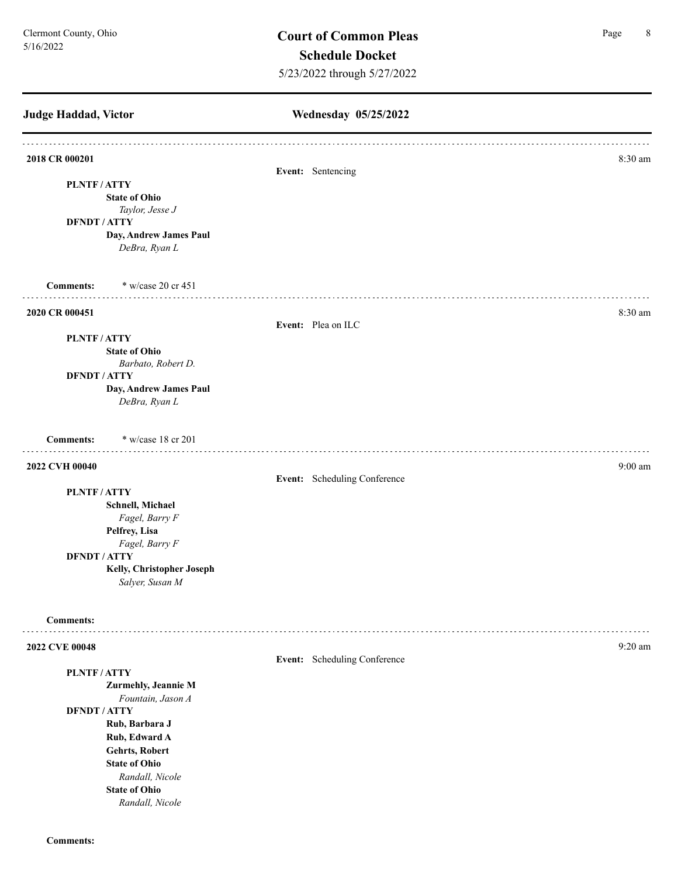**Judge Haddad, Victor Wednesday 05/25/2022 2018 CR 000201** 8:30 am **8:30** am **8:30** am **8:30** am **8:30** am **8:30** am **8:30** am **8:30** am **8:30** am **8:30** am **8:30** am **8:30** am **8:30** am **8:30** am **8:30** am **8:30** am **8:30** am **8:30** am **8:30** am **8:30** am **8:30 Event:** Sentencing **PLNTF / ATTY State of Ohio** *Taylor, Jesse J* **DFNDT / ATTY Day, Andrew James Paul** *DeBra, Ryan L* **Comments:** \* w/case 20 cr 451 **2020 CR 000451** 8:30 am **Event:** Plea on ILC **PLNTF / ATTY State of Ohio** *Barbato, Robert D.* **DFNDT / ATTY Day, Andrew James Paul** *DeBra, Ryan L* **Comments:** \* w/case 18 cr 201 **2022 CVH 00040** 9:00 am **9:00 am Event:** Scheduling Conference **PLNTF / ATTY Schnell, Michael**  *Fagel, Barry F* **Pelfrey, Lisa**  *Fagel, Barry F* **DFNDT / ATTY Kelly, Christopher Joseph** *Salyer, Susan M* **Comments: 2022 CVE 00048** 9:20 am **Event:** Scheduling Conference **PLNTF / ATTY Zurmehly, Jeannie M** *Fountain, Jason A* **DFNDT / ATTY Rub, Barbara J Rub, Edward A Gehrts, Robert State of Ohio** *Randall, Nicole*  **State of Ohio** *Randall, Nicole*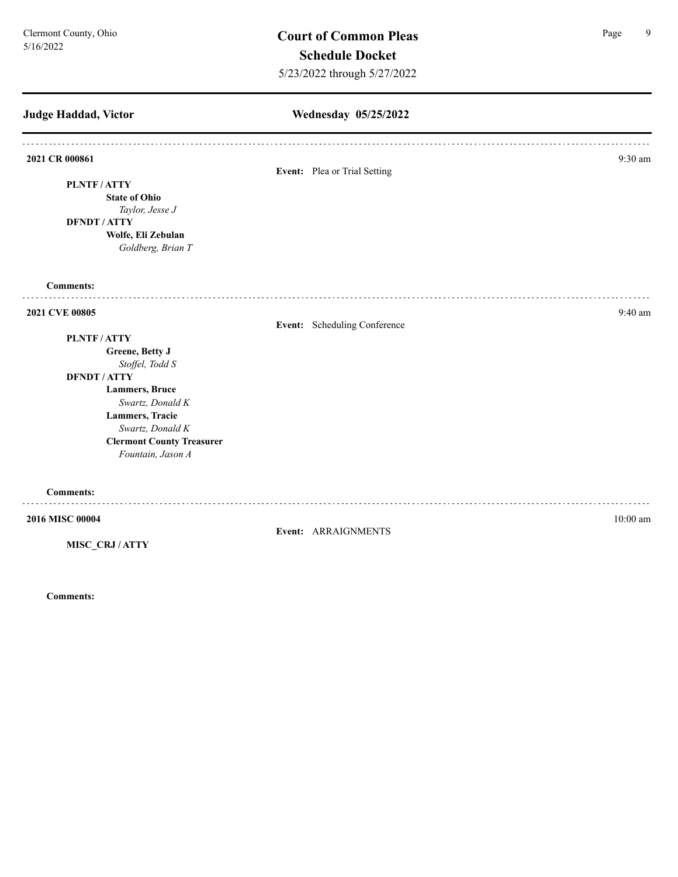**Judge Haddad, Victor Wednesday 05/25/2022 2021 CR 000861** 9:30 am **Event:** Plea or Trial Setting **PLNTF / ATTY State of Ohio** *Taylor, Jesse J* **DFNDT / ATTY Wolfe, Eli Zebulan** *Goldberg, Brian T* **Comments:** . . . . . . . . . . . . **2021 CVE 00805** 9:40 am **Event:** Scheduling Conference **PLNTF / ATTY Greene, Betty J** *Stoffel, Todd S* **DFNDT / ATTY Lammers, Bruce**  *Swartz, Donald K* **Lammers, Tracie**  *Swartz, Donald K* **Clermont County Treasurer** *Fountain, Jason A* **Comments:**

**2016 MISC 00004** 10:00 am **10:00 am Event:** ARRAIGNMENTS

**MISC\_CRJ / ATTY**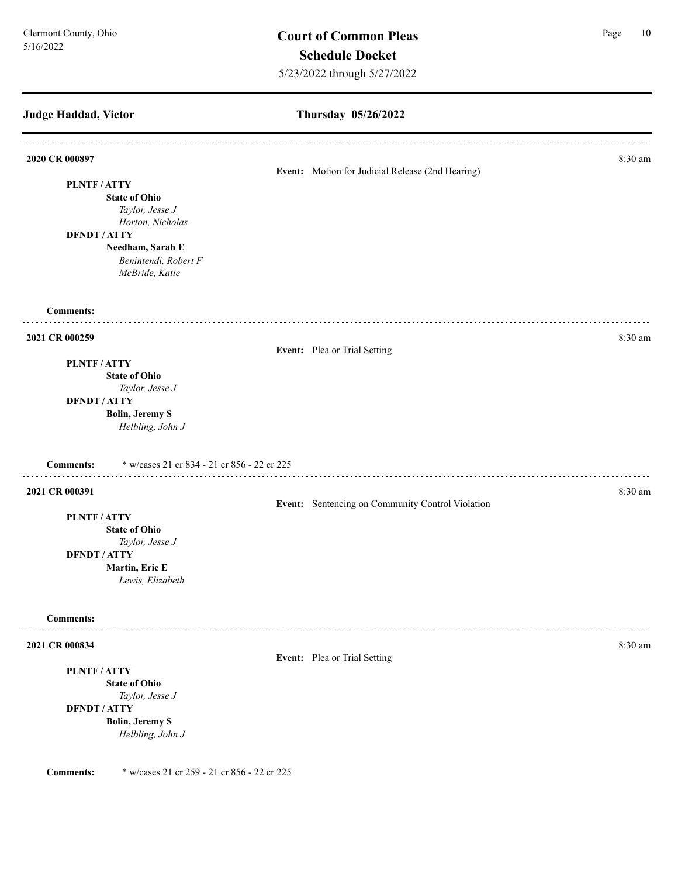## **Thursday 05/26/2022 Judge Haddad, Victor 2020 CR 000897** 8:30 am **Event:** Motion for Judicial Release (2nd Hearing) **PLNTF / ATTY State of Ohio** *Taylor, Jesse J Horton, Nicholas*  **DFNDT / ATTY Needham, Sarah E** *Benintendi, Robert F McBride, Katie*  **Comments: 2021 CR 000259** 8:30 am **Event:** Plea or Trial Setting **PLNTF / ATTY State of Ohio** *Taylor, Jesse J* **DFNDT / ATTY Bolin, Jeremy S** *Helbling, John J* **Comments:** \* w/cases 21 cr 834 - 21 cr 856 - 22 cr 225 **2021 CR 000391** 8:30 am **Event:** Sentencing on Community Control Violation **PLNTF / ATTY State of Ohio** *Taylor, Jesse J* **DFNDT / ATTY Martin, Eric E** *Lewis, Elizabeth*  **Comments:** . . . . . . . . . . . . . **2021 CR 000834** 8:30 am **8:30 am Event:** Plea or Trial Setting **PLNTF / ATTY State of Ohio** *Taylor, Jesse J* **DFNDT / ATTY Bolin, Jeremy S** *Helbling, John J*

**Comments:** \* w/cases 21 cr 259 - 21 cr 856 - 22 cr 225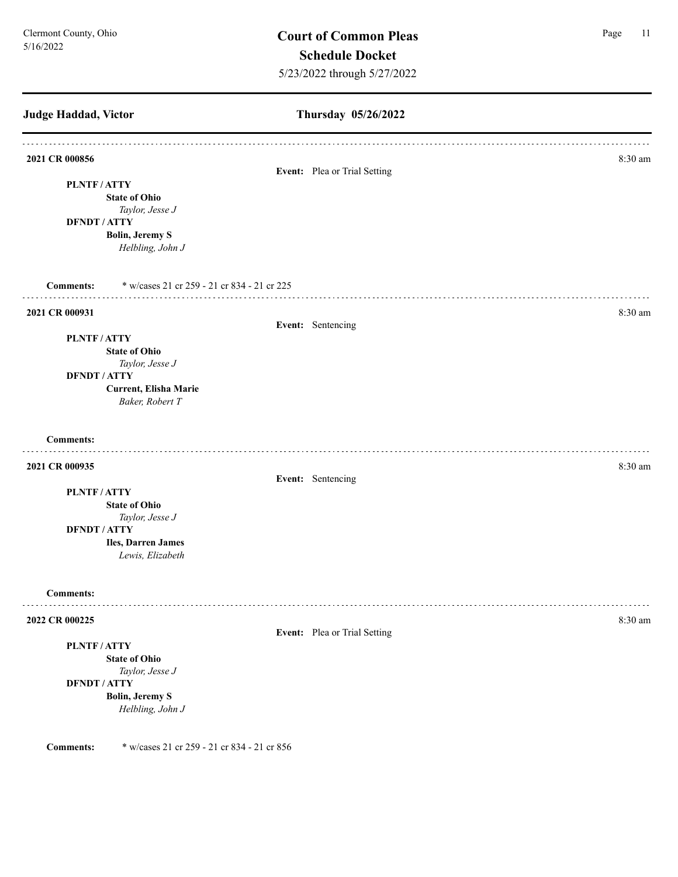**Judge Haddad, Victor Thursday 05/26/2022 2021 CR 000856** 8:30 am **Event:** Plea or Trial Setting **PLNTF / ATTY State of Ohio** *Taylor, Jesse J* **DFNDT / ATTY Bolin, Jeremy S** *Helbling, John J* **Comments:** \* w/cases 21 cr 259 - 21 cr 834 - 21 cr 225 **2021 CR 000931** 8:30 am **Event:** Sentencing **PLNTF / ATTY State of Ohio** *Taylor, Jesse J* **DFNDT / ATTY Current, Elisha Marie** *Baker, Robert T* **Comments: 2021 CR 000935** 8:30 am **8.30 am Event:** Sentencing **PLNTF / ATTY State of Ohio** *Taylor, Jesse J* **DFNDT / ATTY Iles, Darren James** *Lewis, Elizabeth*  **Comments:** . . . . . . . . . **2022 CR 000225** 8:30 am **Event:** Plea or Trial Setting **PLNTF / ATTY State of Ohio** *Taylor, Jesse J* **DFNDT / ATTY Bolin, Jeremy S** *Helbling, John J*

**Comments:** \* w/cases 21 cr 259 - 21 cr 834 - 21 cr 856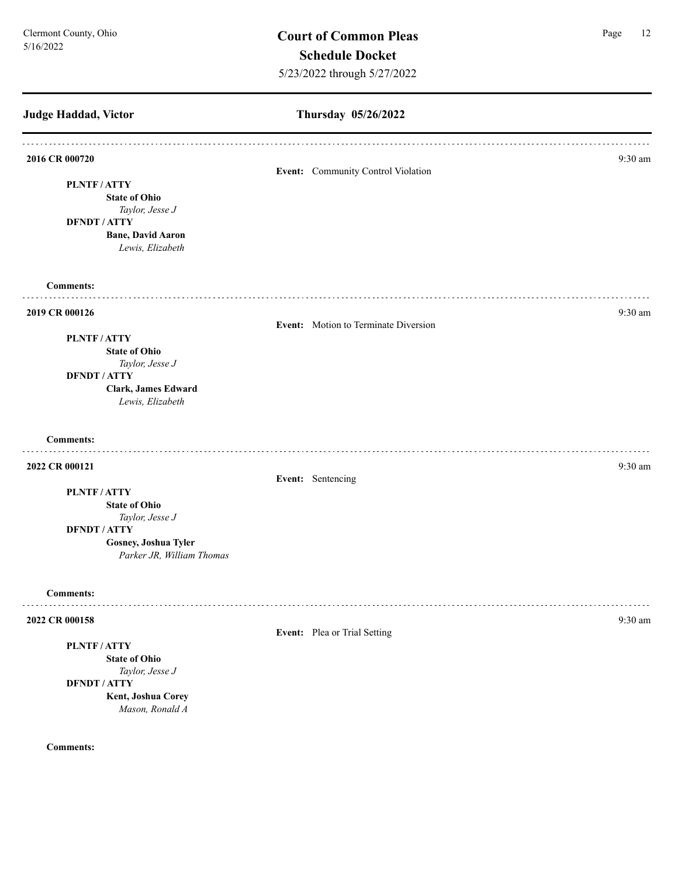## **Judge Haddad, Victor Thursday 05/26/2022 2016 CR 000720** 9:30 am **Event:** Community Control Violation **PLNTF / ATTY State of Ohio** *Taylor, Jesse J* **DFNDT / ATTY Bane, David Aaron** *Lewis, Elizabeth*  **Comments: 2019 CR 000126** 9:30 am **9:30 am Event:** Motion to Terminate Diversion **PLNTF / ATTY State of Ohio** *Taylor, Jesse J* **DFNDT / ATTY Clark, James Edward** *Lewis, Elizabeth*  **Comments: 2022 CR 000121** 9:30 am **9:30** am **9:30** am **9:30** am **9:30** am **9:30** am **9:30** am **9:30** am **Event:** Sentencing **PLNTF / ATTY State of Ohio** *Taylor, Jesse J* **DFNDT / ATTY Gosney, Joshua Tyler** *Parker JR, William Thomas* **Comments:** . . . . . . . . . **2022 CR 000158** 9:30 am **Event:** Plea or Trial Setting **PLNTF / ATTY State of Ohio** *Taylor, Jesse J* **DFNDT / ATTY Kent, Joshua Corey** *Mason, Ronald A*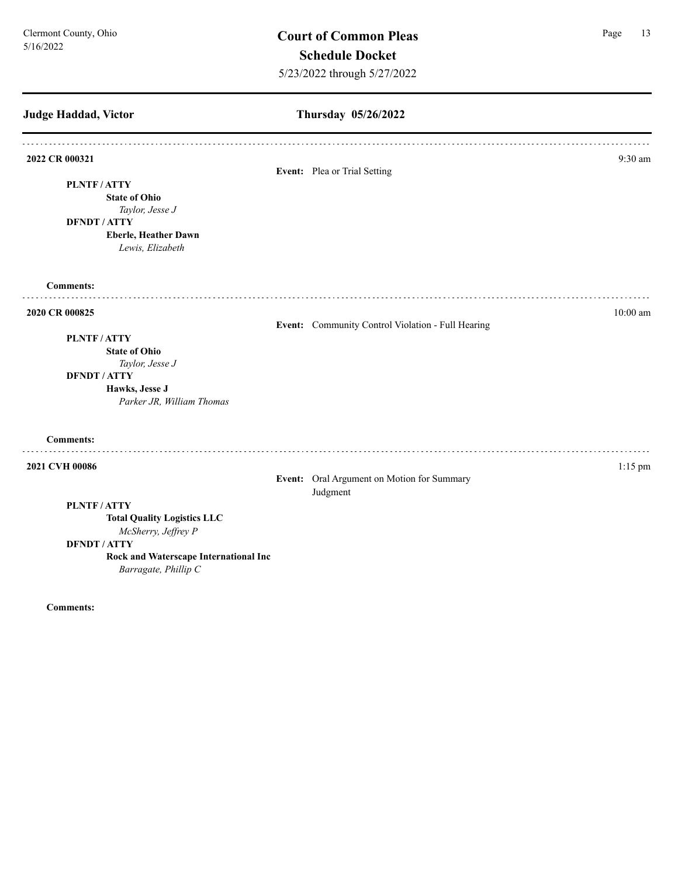## **Judge Haddad, Victor Thursday 05/26/2022 2022 CR 000321** 9:30 am **Event:** Plea or Trial Setting **PLNTF / ATTY State of Ohio** *Taylor, Jesse J* **DFNDT / ATTY Eberle, Heather Dawn** *Lewis, Elizabeth*  **Comments:** . . . . . . . . **2020 CR 000825** 10:00 am **Event:** Community Control Violation - Full Hearing **PLNTF / ATTY State of Ohio** *Taylor, Jesse J* **DFNDT / ATTY Hawks, Jesse J** *Parker JR, William Thomas* **Comments: 2021 CVH 00086** 1:15 pm **Event:** Oral Argument on Motion for Summary Judgment **PLNTF / ATTY Total Quality Logistics LLC** *McSherry, Jeffrey P* **DFNDT / ATTY Rock and Waterscape International Inc** *Barragate, Phillip C*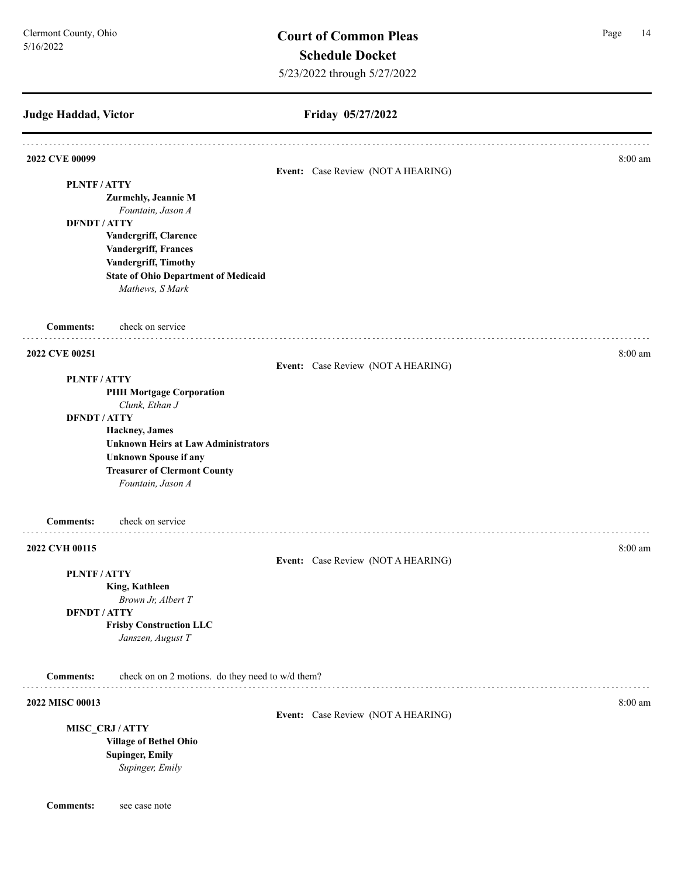## **Judge Haddad, Victor**

## **Friday 05/27/2022**

| 2022 CVE 00099      |                                                  |                                    | $8:00 \text{ am}$ |
|---------------------|--------------------------------------------------|------------------------------------|-------------------|
|                     |                                                  | Event: Case Review (NOT A HEARING) |                   |
| PLNTF/ATTY          |                                                  |                                    |                   |
|                     | Zurmehly, Jeannie M                              |                                    |                   |
|                     | Fountain, Jason A                                |                                    |                   |
| <b>DFNDT / ATTY</b> |                                                  |                                    |                   |
|                     | Vandergriff, Clarence                            |                                    |                   |
|                     | Vandergriff, Frances                             |                                    |                   |
|                     | Vandergriff, Timothy                             |                                    |                   |
|                     | <b>State of Ohio Department of Medicaid</b>      |                                    |                   |
|                     | Mathews, S Mark                                  |                                    |                   |
| <b>Comments:</b>    | check on service                                 |                                    |                   |
| 2022 CVE 00251      |                                                  |                                    | 8:00 am           |
|                     |                                                  | Event: Case Review (NOT A HEARING) |                   |
| PLNTF/ATTY          | <b>PHH Mortgage Corporation</b>                  |                                    |                   |
|                     | Clunk, Ethan J                                   |                                    |                   |
| <b>DFNDT / ATTY</b> |                                                  |                                    |                   |
|                     | Hackney, James                                   |                                    |                   |
|                     | <b>Unknown Heirs at Law Administrators</b>       |                                    |                   |
|                     | <b>Unknown Spouse if any</b>                     |                                    |                   |
|                     | <b>Treasurer of Clermont County</b>              |                                    |                   |
|                     | Fountain, Jason A                                |                                    |                   |
| <b>Comments:</b>    | check on service                                 |                                    |                   |
| 2022 CVH 00115      |                                                  |                                    | 8:00 am           |
|                     |                                                  | Event: Case Review (NOT A HEARING) |                   |
| PLNTF/ATTY          |                                                  |                                    |                   |
|                     | King, Kathleen                                   |                                    |                   |
|                     | Brown Jr, Albert T                               |                                    |                   |
| <b>DFNDT / ATTY</b> |                                                  |                                    |                   |
|                     | <b>Frisby Construction LLC</b>                   |                                    |                   |
|                     | Janszen, August T                                |                                    |                   |
| <b>Comments:</b>    | check on on 2 motions. do they need to w/d them? |                                    |                   |
| 2022 MISC 00013     |                                                  |                                    | 8:00 am           |
|                     |                                                  | Event: Case Review (NOT A HEARING) |                   |
|                     | MISC_CRJ/ATTY                                    |                                    |                   |
|                     | <b>Village of Bethel Ohio</b>                    |                                    |                   |
|                     | <b>Supinger, Emily</b>                           |                                    |                   |
|                     | Supinger, Emily                                  |                                    |                   |
| <b>Comments:</b>    | see case note                                    |                                    |                   |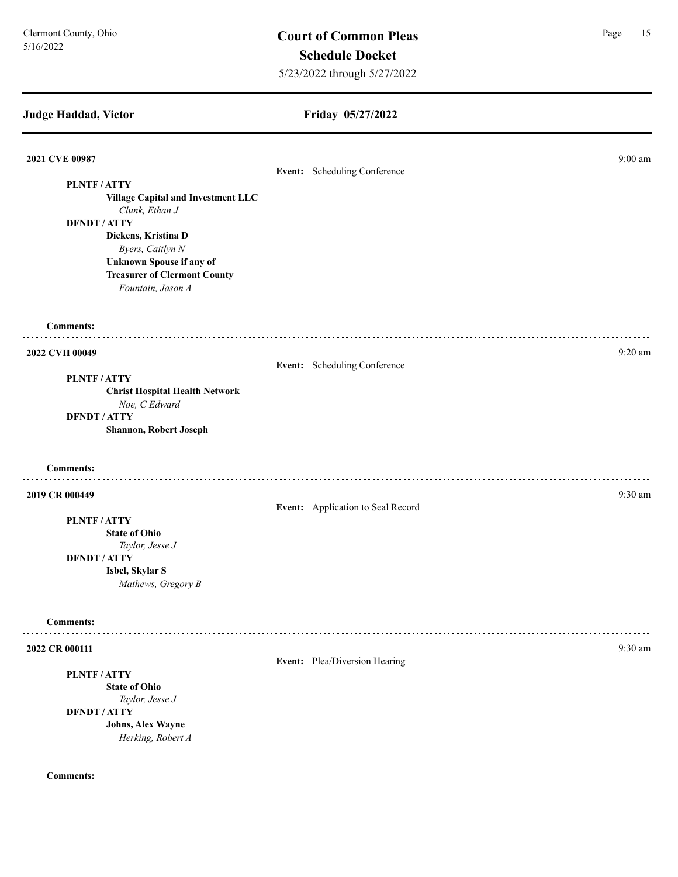## **Judge Haddad, Victor Friday 05/27/2022 2021 CVE 00987** 9:00 am **Event:** Scheduling Conference **PLNTF / ATTY Village Capital and Investment LLC** *Clunk, Ethan J* **DFNDT / ATTY Dickens, Kristina D** *Byers, Caitlyn N* **Unknown Spouse if any of Treasurer of Clermont County** *Fountain, Jason A* **Comments:** . . . . . . . . . . . . **2022 CVH 00049** 9:20 am **9:20 Event:** Scheduling Conference **PLNTF / ATTY Christ Hospital Health Network** *Noe, C Edward*  **DFNDT / ATTY Shannon, Robert Joseph Comments: 2019 CR 000449** 9:30 am **9:30 am Event:** Application to Seal Record **PLNTF / ATTY State of Ohio** *Taylor, Jesse J* **DFNDT / ATTY Isbel, Skylar S** *Mathews, Gregory B* **Comments:** . . . . . . . . . . . . . . . . . . . **2022 CR 000111** 9:30 am **9:30** am **9:30** am **9:30** am **9:30** am **9:30** am **9:30** am **9:30** am **Event:** Plea/Diversion Hearing **PLNTF / ATTY State of Ohio** *Taylor, Jesse J* **DFNDT / ATTY Johns, Alex Wayne** *Herking, Robert A*